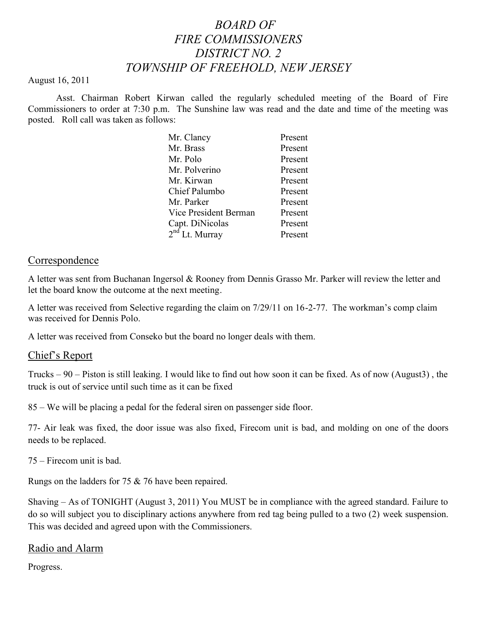# *BOARD OF FIRE COMMISSIONERS DISTRICT NO. 2 TOWNSHIP OF FREEHOLD, NEW JERSEY*

#### August 16, 2011

Asst. Chairman Robert Kirwan called the regularly scheduled meeting of the Board of Fire Commissioners to order at 7:30 p.m. The Sunshine law was read and the date and time of the meeting was posted. Roll call was taken as follows:

| Mr. Clancy                 | Present |
|----------------------------|---------|
| Mr. Brass                  | Present |
| Mr. Polo                   | Present |
| Mr. Polverino              | Present |
| Mr. Kirwan                 | Present |
| Chief Palumbo              | Present |
| Mr. Parker                 | Present |
| Vice President Berman      | Present |
| Capt. DiNicolas            | Present |
| 2 <sup>nd</sup> Lt. Murray | Present |

#### **Correspondence**

A letter was sent from Buchanan Ingersol & Rooney from Dennis Grasso Mr. Parker will review the letter and let the board know the outcome at the next meeting.

A letter was received from Selective regarding the claim on 7/29/11 on 16-2-77. The workman's comp claim was received for Dennis Polo.

A letter was received from Conseko but the board no longer deals with them.

### Chief's Report

Trucks – 90 – Piston is still leaking. I would like to find out how soon it can be fixed. As of now (August3) , the truck is out of service until such time as it can be fixed

85 – We will be placing a pedal for the federal siren on passenger side floor.

77- Air leak was fixed, the door issue was also fixed, Firecom unit is bad, and molding on one of the doors needs to be replaced.

75 – Firecom unit is bad.

Rungs on the ladders for 75 & 76 have been repaired.

Shaving – As of TONIGHT (August 3, 2011) You MUST be in compliance with the agreed standard. Failure to do so will subject you to disciplinary actions anywhere from red tag being pulled to a two (2) week suspension. This was decided and agreed upon with the Commissioners.

### Radio and Alarm

Progress.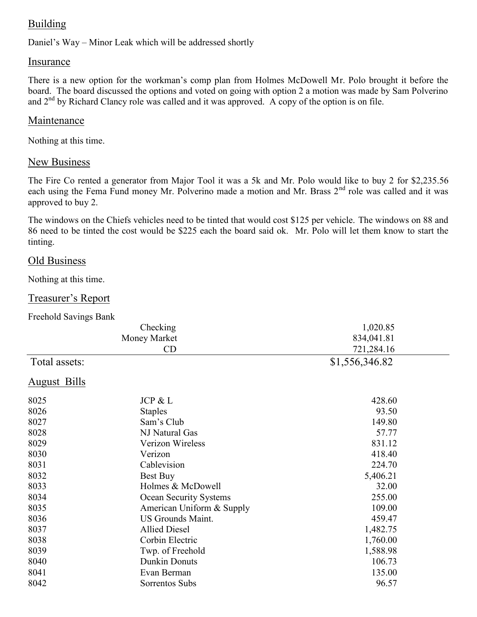## Building

Daniel's Way – Minor Leak which will be addressed shortly

### Insurance

There is a new option for the workman's comp plan from Holmes McDowell Mr. Polo brought it before the board. The board discussed the options and voted on going with option 2 a motion was made by Sam Polverino and 2<sup>nd</sup> by Richard Clancy role was called and it was approved. A copy of the option is on file.

#### Maintenance

Nothing at this time.

#### New Business

The Fire Co rented a generator from Major Tool it was a 5k and Mr. Polo would like to buy 2 for \$2,235.56 each using the Fema Fund money Mr. Polverino made a motion and Mr. Brass 2<sup>nd</sup> role was called and it was approved to buy 2.

The windows on the Chiefs vehicles need to be tinted that would cost \$125 per vehicle. The windows on 88 and 86 need to be tinted the cost would be \$225 each the board said ok. Mr. Polo will let them know to start the tinting.

#### Old Business

Nothing at this time.

#### Treasurer's Report

Freehold Savings Bank

| Checking<br>Money Market |                           | 1,020.85       |  |
|--------------------------|---------------------------|----------------|--|
|                          |                           | 834,041.81     |  |
|                          | CD                        | 721,284.16     |  |
| Total assets:            |                           | \$1,556,346.82 |  |
| August Bills             |                           |                |  |
| 8025                     | JCP & L                   | 428.60         |  |
| 8026                     | <b>Staples</b>            | 93.50          |  |
| 8027                     | Sam's Club                | 149.80         |  |
| 8028                     | NJ Natural Gas            | 57.77          |  |
| 8029                     | Verizon Wireless          | 831.12         |  |
| 8030                     | Verizon                   | 418.40         |  |
| 8031                     | Cablevision               | 224.70         |  |
| 8032                     | Best Buy                  | 5,406.21       |  |
| 8033                     | Holmes & McDowell         | 32.00          |  |
| 8034                     | Ocean Security Systems    | 255.00         |  |
| 8035                     | American Uniform & Supply | 109.00         |  |
| 8036                     | <b>US Grounds Maint.</b>  | 459.47         |  |
| 8037                     | <b>Allied Diesel</b>      | 1,482.75       |  |
| 8038                     | Corbin Electric           | 1,760.00       |  |
| 8039                     | Twp. of Freehold          | 1,588.98       |  |
| 8040                     | <b>Dunkin Donuts</b>      | 106.73         |  |
| 8041                     | Evan Berman               | 135.00         |  |
| 8042                     | Sorrentos Subs            | 96.57          |  |
|                          |                           |                |  |